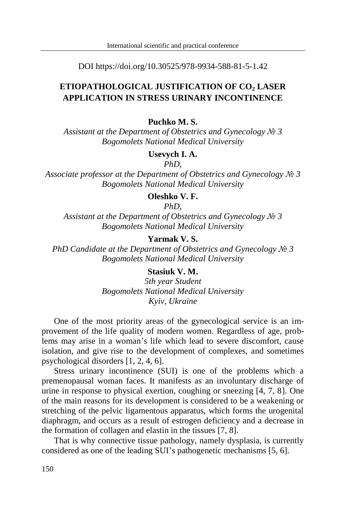DOI https://doi.org/10.30525/978-9934-588-81-5-1.42

# **ETIOPATHOLOGICAL JUSTIFICATION OF CO<sup>2</sup> LASER APPLICATION IN STRESS URINARY INCONTINENCE**

#### **Puchko M. S.**

*Assistant at the Department of Obstetrics and Gynecology № 3 Bogomolets National Medical University*

## **Usevych I. A.**

*PhD,*

*Associate professor at the Department of Obstetrics and Gynecology № 3 Bogomolets National Medical University*

#### **Oleshko V. F.**

*PhD,*

*Assistant at the Department of Obstetrics and Gynecology № 3 Bogomolets National Medical University*

# **Yarmak V. S.**

*PhD Candidate at the Department of Obstetrics and Gynecology № 3 Bogomolets National Medical University*

## **Stasiuk V. M.**

*5th year Student Bogomolets National Medical University Kyiv, Ukraine*

One of the most priority areas of the gynecological service is an improvement of the life quality of modern women. Regardless of age, problems may arise in a woman's life which lead to severe discomfort, cause isolation, and give rise to the development of complexes, and sometimes psychological disorders [1, 2, 4, 6].

Stress urinary incontinence (SUI) is one of the problems which a premenopausal woman faces. It manifests as an involuntary discharge of urine in response to physical exertion, coughing or sneezing [4, 7, 8]. One of the main reasons for its development is considered to be a weakening or stretching of the pelvic ligamentous apparatus, which forms the urogenital diaphragm, and occurs as a result of estrogen deficiency and a decrease in the formation of collagen and elastin in the tissues [7, 8].

That is why connective tissue pathology, namely dysplasia, is currently considered as one of the leading SUI's pathogenetic mechanisms [5, 6].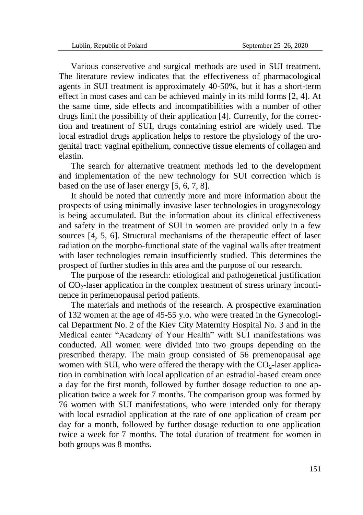Various conservative and surgical methods are used in SUI treatment. The literature review indicates that the effectiveness of pharmacological agents in SUI treatment is approximately 40-50%, but it has a short-term effect in most cases and can be achieved mainly in its mild forms [2, 4]. At the same time, side effects and incompatibilities with a number of other drugs limit the possibility of their application [4]. Currently, for the correction and treatment of SUI, drugs containing estriol are widely used. The local estradiol drugs application helps to restore the physiology of the urogenital tract: vaginal epithelium, connective tissue elements of collagen and elastin.

The search for alternative treatment methods led to the development and implementation of the new technology for SUI correction which is based on the use of laser energy [5, 6, 7, 8].

It should be noted that currently more and more information about the prospects of using minimally invasive laser technologies in urogynecology is being accumulated. But the information about its clinical effectiveness and safety in the treatment of SUI in women are provided only in a few sources [4, 5, 6]. Structural mechanisms of the therapeutic effect of laser radiation on the morpho-functional state of the vaginal walls after treatment with laser technologies remain insufficiently studied. This determines the prospect of further studies in this area and the purpose of our research.

The purpose of the research: etiological and pathogenetical justification of  $CO<sub>2</sub>$ -laser application in the complex treatment of stress urinary incontinence in perimenopausal period patients.

The materials and methods of the research. A prospective examination of 132 women at the age of 45-55 y.o. who were treated in the Gynecological Department No. 2 of the Kiev City Maternity Hospital No. 3 and in the Medical center "Academy of Your Health" with SUI manifestations was conducted. All women were divided into two groups depending on the prescribed therapy. The main group consisted of 56 premenopausal age women with SUI, who were offered the therapy with the  $CO<sub>2</sub>$ -laser application in combination with local application of an estradiol-based cream once a day for the first month, followed by further dosage reduction to one application twice a week for 7 months. The comparison group was formed by 76 women with SUI manifestations, who were intended only for therapy with local estradiol application at the rate of one application of cream per day for a month, followed by further dosage reduction to one application twice a week for 7 months. The total duration of treatment for women in both groups was 8 months.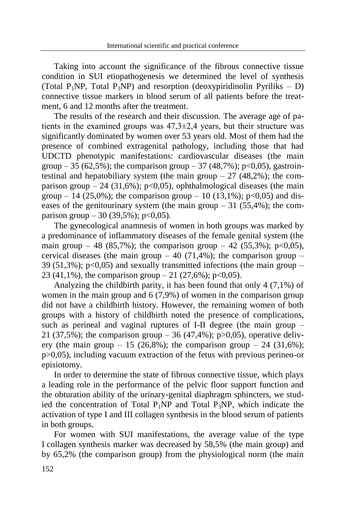Taking into account the significance of the fibrous connective tissue condition in SUI etiopathogenesis we determined the level of synthesis (Total P<sub>1</sub>NP, Total P<sub>3</sub>NP) and resorption (deoxypiridinolin Pyriliks – D) connective tissue markers in blood serum of all patients before the treatment, 6 and 12 months after the treatment.

The results of the research and their discussion. The average age of patients in the examined groups was  $47,3\pm2,4$  years, but their structure was significantly dominated by women over 53 years old. Most of them had the presence of combined extragenital pathology, including those that had UDCTD phenotypic manifestations: cardiovascular diseases (the main group – 35 (62,5%); the comparison group – 37 (48,7%); p<0,05), gastrointestinal and hepatobiliary system (the main group  $-27$  (48.2%); the comparison group – 24 (31,6%); p<0,05), ophthalmological diseases (the main group – 14 (25,0%); the comparison group – 10 (13,1%); p<0,05) and diseases of the genitourinary system (the main group  $-31$  (55.4%); the comparison group  $-30$  (39,5%); p<0,05).

The gynecological anamnesis of women in both groups was marked by a predominance of inflammatory diseases of the female genital system (the main group – 48 (85,7%); the comparison group – 42 (55,3%); p<0,05), cervical diseases (the main group  $-40$  (71,4%); the comparison group  $-$ 39 (51,3%);  $p<0.05$ ) and sexually transmitted infections (the main group – 23 (41,1%), the comparison group  $-21$  (27,6%); p<0,05).

Analyzing the childbirth parity, it has been found that only 4 (7,1%) of women in the main group and 6 (7,9%) of women in the comparison group did not have a childbirth history. However, the remaining women of both groups with a history of childbirth noted the presence of complications, such as perineal and vaginal ruptures of I-II degree (the main group – 21 (37,5%); the comparison group  $-36$  (47,4%); p $>0,05$ ), operative delivery (the main group  $-15$  (26,8%); the comparison group  $-24$  (31,6%); p>0,05), including vacuum extraction of the fetus with previous perineo-or episiotomy.

In order to determine the state of fibrous connective tissue, which plays a leading role in the performance of the pelvic floor support function and the obturation ability of the urinary-genital diaphragm sphincters, we studied the concentration of Total  $P_1NP$  and Total  $P_3NP$ , which indicate the activation of type I and III collagen synthesis in the blood serum of patients in both groups.

For women with SUI manifestations, the average value of the type I collagen synthesis marker was decreased by 58,5% (the main group) and by 65,2% (the comparison group) from the physiological norm (the main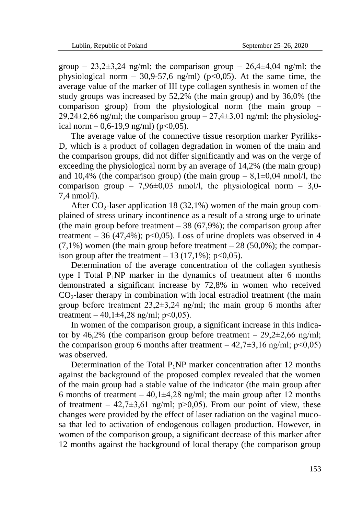group – 23,2 $\pm$ 3,24 ng/ml; the comparison group – 26,4 $\pm$ 4,04 ng/ml; the physiological norm – 30,9-57,6 ng/ml) ( $p<0.05$ ). At the same time, the average value of the marker of III type collagen synthesis in women of the study groups was increased by 52,2% (the main group) and by 36,0% (the comparison group) from the physiological norm (the main group – 29,24 $\pm$ 2,66 ng/ml; the comparison group – 27,4 $\pm$ 3,01 ng/ml; the physiological norm  $-0.6-19.9$  ng/ml) (p<0.05).

The average value of the connective tissue resorption marker Pyriliks-D, which is a product of collagen degradation in women of the main and the comparison groups, did not differ significantly and was on the verge of exceeding the physiological norm by an average of 14,2% (the main group) and 10.4% (the comparison group) (the main group  $-8.1\pm0.04$  nmol/l, the comparison group – 7,96 $\pm$ 0,03 nmol/l, the physiological norm – 3,0-7,4 nmol/l).

After  $CO_2$ -laser application 18 (32.1%) women of the main group complained of stress urinary incontinence as a result of a strong urge to urinate (the main group before treatment  $-38(67,9\%)$ ; the comparison group after treatment – 36 (47,4%); p<0,05). Loss of urine droplets was observed in 4  $(7,1\%)$  women (the main group before treatment  $-28$  (50,0%); the comparison group after the treatment  $-13$  (17,1%); p<0,05).

Determination of the average concentration of the collagen synthesis type I Total  $P_1NP$  marker in the dynamics of treatment after 6 months demonstrated a significant increase by 72,8% in women who received  $CO<sub>2</sub>$ -laser therapy in combination with local estradiol treatment (the main group before treatment  $23.2 \pm 3.24$  ng/ml; the main group 6 months after treatment – 40,1 $\pm$ 4,28 ng/ml; p<0,05).

In women of the comparison group, a significant increase in this indicator by 46,2% (the comparison group before treatment –  $29,2\pm 2,66$  ng/ml; the comparison group 6 months after treatment  $-42,7\pm3,16$  ng/ml; p<0,05) was observed.

Determination of the Total  $P_1NP$  marker concentration after 12 months against the background of the proposed complex revealed that the women of the main group had a stable value of the indicator (the main group after 6 months of treatment – 40,1 $\pm$ 4,28 ng/ml; the main group after 12 months of treatment – 42,7 $\pm$ 3,61 ng/ml; p>0,05). From our point of view, these changes were provided by the effect of laser radiation on the vaginal mucosa that led to activation of endogenous collagen production. However, in women of the comparison group, a significant decrease of this marker after 12 months against the background of local therapy (the comparison group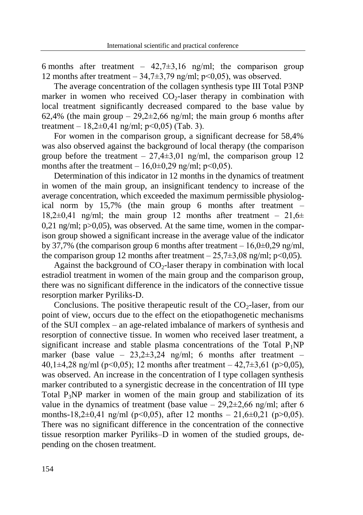6 months after treatment –  $42.7\pm3.16$  ng/ml; the comparison group 12 months after treatment –  $34,7\pm3,79$  ng/ml; p<0,05), was observed.

The average concentration of the collagen synthesis type III Total P3NP marker in women who received  $CO<sub>2</sub>$ -laser therapy in combination with local treatment significantly decreased compared to the base value by 62.4% (the main group – 29.2 $\pm$ 2.66 ng/ml; the main group 6 months after treatment –  $18.2 \pm 0.41$  ng/ml; p<0.05) (Tab. 3).

For women in the comparison group, a significant decrease for 58,4% was also observed against the background of local therapy (the comparison group before the treatment –  $27,4\pm3,01$  ng/ml, the comparison group 12 months after the treatment –  $16,0\pm0,29$  ng/ml; p<0,05).

Determination of this indicator in 12 months in the dynamics of treatment in women of the main group, an insignificant tendency to increase of the average concentration, which exceeded the maximum permissible physiological norm by 15,7% (the main group 6 months after treatment – 18,2 $\pm$ 0,41 ng/ml; the main group 12 months after treatment – 21,6 $\pm$  $0.21$  ng/ml; p $>0.05$ ), was observed. At the same time, women in the comparison group showed a significant increase in the average value of the indicator by 37,7% (the comparison group 6 months after treatment  $-16,0\pm0,29$  ng/ml, the comparison group 12 months after treatment  $-25,7\pm3,08$  ng/ml; p<0,05).

Against the background of  $CO<sub>2</sub>$ -laser therapy in combination with local estradiol treatment in women of the main group and the comparison group, there was no significant difference in the indicators of the connective tissue resorption marker Pyriliks-D.

Conclusions. The positive therapeutic result of the  $CO<sub>2</sub>$ -laser, from our point of view, occurs due to the effect on the etiopathogenetic mechanisms of the SUI complex – an age-related imbalance of markers of synthesis and resorption of connective tissue. In women who received laser treatment, a significant increase and stable plasma concentrations of the Total  $P_1NP$ marker (base value –  $23.2 \pm 3.24$  ng/ml; 6 months after treatment – 40,1 $\pm$ 4,28 ng/ml (p<0,05); 12 months after treatment – 42,7 $\pm$ 3,61 (p>0,05), was observed. An increase in the concentration of I type collagen synthesis marker contributed to a synergistic decrease in the concentration of III type Total  $P_3NP$  marker in women of the main group and stabilization of its value in the dynamics of treatment (base value  $-29,2\pm 2,66$  ng/ml; after 6 months-18,2 $\pm$ 0,41 ng/ml (p<0,05), after 12 months – 21,6 $\pm$ 0,21 (p>0,05). There was no significant difference in the concentration of the connective tissue resorption marker Pyriliks–D in women of the studied groups, depending on the chosen treatment.